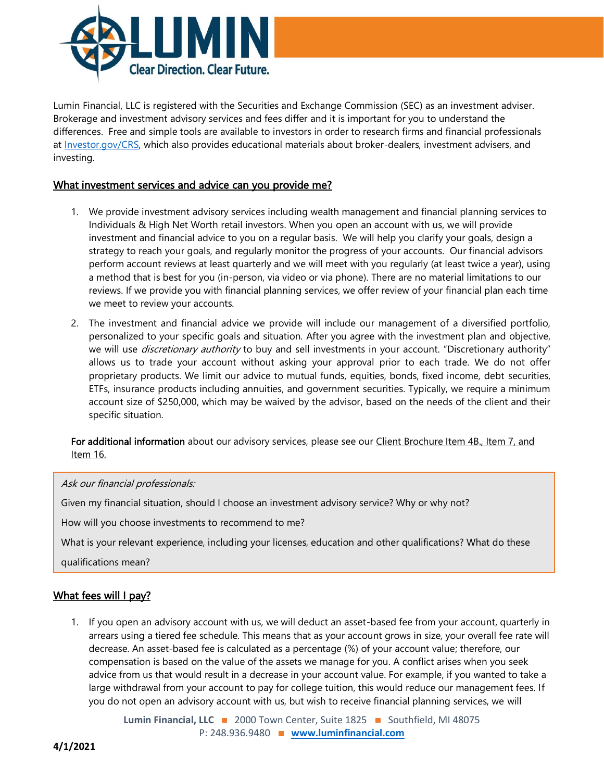

Lumin Financial, LLC is registered with the Securities and Exchange Commission (SEC) as an investment adviser. Brokerage and investment advisory services and fees differ and it is important for you to understand the differences. Free and simple tools are available to investors in order to research firms and financial professionals at [Investor.gov/CRS,](https://www.investor.gov/CRS) which also provides educational materials about broker-dealers, investment advisers, and investing.

### What investment services and advice can you provide me?

- 1. We provide investment advisory services including wealth management and financial planning services to Individuals & High Net Worth retail investors. When you open an account with us, we will provide investment and financial advice to you on a regular basis. We will help you clarify your goals, design a strategy to reach your goals, and regularly monitor the progress of your accounts. Our financial advisors perform account reviews at least quarterly and we will meet with you regularly (at least twice a year), using a method that is best for you (in-person, via video or via phone). There are no material limitations to our reviews. If we provide you with financial planning services, we offer review of your financial plan each time we meet to review your accounts.
- 2. The investment and financial advice we provide will include our management of a diversified portfolio, personalized to your specific goals and situation. After you agree with the investment plan and objective, we will use *discretionary authority* to buy and sell investments in your account. "Discretionary authority" allows us to trade your account without asking your approval prior to each trade. We do not offer proprietary products. We limit our advice to mutual funds, equities, bonds, fixed income, debt securities, ETFs, insurance products including annuities, and government securities. Typically, we require a minimum account size of \$250,000, which may be waived by the advisor, based on the needs of the client and their specific situation.

For additional information about our advisory services, please see our Client Brochure Item 4B., Item 7, and [Item 16.](https://adviserinfo.sec.gov/firm/summary/124138)

Ask our financial professionals:

Given my financial situation, should I choose an investment advisory service? Why or why not?

How will you choose investments to recommend to me?

What is your relevant experience, including your licenses, education and other qualifications? What do these

qualifications mean?

I I I I

## What fees will I pay?

1. If you open an advisory account with us, we will deduct an asset-based fee from your account, quarterly in arrears using a tiered fee schedule. This means that as your account grows in size, your overall fee rate will decrease. An asset-based fee is calculated as a percentage (%) of your account value; therefore, our compensation is based on the value of the assets we manage for you. A conflict arises when you seek advice from us that would result in a decrease in your account value. For example, if you wanted to take a large withdrawal from your account to pay for college tuition, this would reduce our management fees. If you do not open an advisory account with us, but wish to receive financial planning services, we will

> Lumin Financial, LLC **2000** Town Center, Suite 1825 **31** Southfield, MI 48075 P: 248.936.9480 **[www.luminfinancial.com](http://www.luminfinancial.com/)**